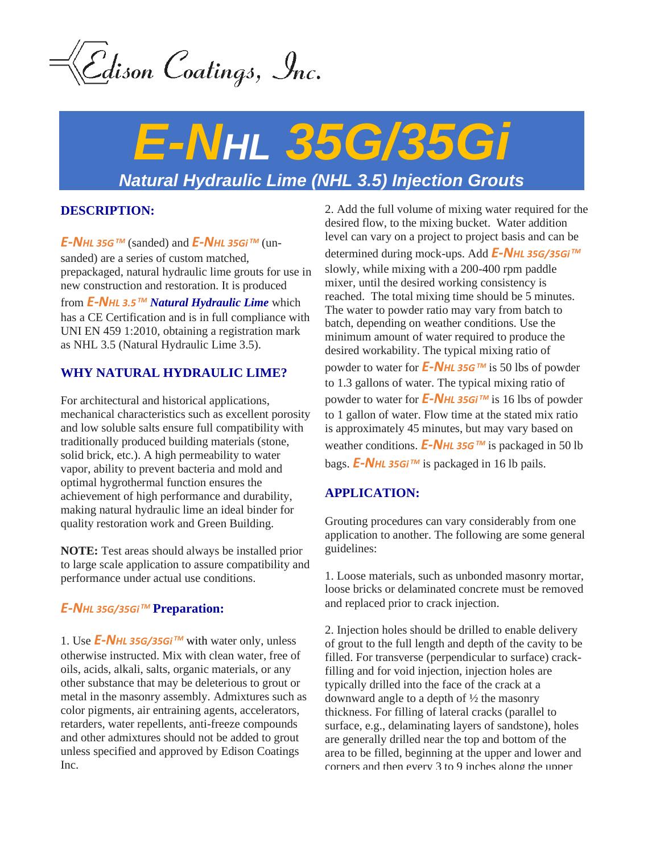<u>E</u>dison Coatings, Inc.

# *E-NHL 35G/35Gi Natural Hydraulic Lime (NHL 3.5) Injection Grouts*

# **DESCRIPTION:**

*E-NHL 35G TM* (sanded) and *E-NHL 35Gi TM* (unsanded) are a series of custom matched, prepackaged, natural hydraulic lime grouts for use in new construction and restoration. It is produced

from *E-NHL 3.5 TM Natural Hydraulic Lime* which has a CE Certification and is in full compliance with UNI EN 459 1:2010, obtaining a registration mark as NHL 3.5 (Natural Hydraulic Lime 3.5).

# **WHY NATURAL HYDRAULIC LIME?**

For architectural and historical applications, mechanical characteristics such as excellent porosity and low soluble salts ensure full compatibility with traditionally produced building materials (stone, solid brick, etc.). A high permeability to water vapor, ability to prevent bacteria and mold and optimal hygrothermal function ensures the achievement of high performance and durability, making natural hydraulic lime an ideal binder for quality restoration work and Green Building.

**NOTE:** Test areas should always be installed prior to large scale application to assure compatibility and performance under actual use conditions.

# *E-NHL 35G/35Gi TM* **Preparation:**

1. Use *E-NHL 35G/35Gi TM* with water only, unless otherwise instructed. Mix with clean water, free of oils, acids, alkali, salts, organic materials, or any other substance that may be deleterious to grout or metal in the masonry assembly. Admixtures such as color pigments, air entraining agents, accelerators, retarders, water repellents, anti-freeze compounds and other admixtures should not be added to grout unless specified and approved by Edison Coatings Inc.

2. Add the full volume of mixing water required for the desired flow, to the mixing bucket. Water addition level can vary on a project to project basis and can be determined during mock-ups. Add *E-NHL 35G/35Gi TM* slowly, while mixing with a 200-400 rpm paddle mixer, until the desired working consistency is reached. The total mixing time should be 5 minutes. The water to powder ratio may vary from batch to batch, depending on weather conditions. Use the minimum amount of water required to produce the desired workability. The typical mixing ratio of powder to water for *E-NHL 35G TM* is 50 lbs of powder to 1.3 gallons of water. The typical mixing ratio of powder to water for *E-NHL 35Gi TM* is 16 lbs of powder to 1 gallon of water. Flow time at the stated mix ratio is approximately 45 minutes, but may vary based on weather conditions. *E-NHL 35G TM* is packaged in 50 lb bags. *E-NHL 35Gi TM* is packaged in 16 lb pails.

## **APPLICATION:**

Grouting procedures can vary considerably from one application to another. The following are some general guidelines:

1. Loose materials, such as unbonded masonry mortar, loose bricks or delaminated concrete must be removed and replaced prior to crack injection.

2. Injection holes should be drilled to enable delivery of grout to the full length and depth of the cavity to be filled. For transverse (perpendicular to surface) crackfilling and for void injection, injection holes are typically drilled into the face of the crack at a downward angle to a depth of ½ the masonry thickness. For filling of lateral cracks (parallel to surface, e.g., delaminating layers of sandstone), holes are generally drilled near the top and bottom of the area to be filled, beginning at the upper and lower and corners and then every 3 to 9 inches along the upper